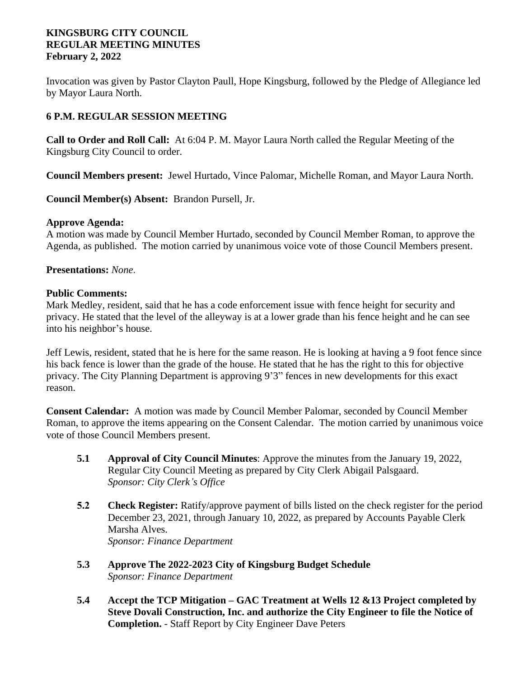## **KINGSBURG CITY COUNCIL REGULAR MEETING MINUTES February 2, 2022**

Invocation was given by Pastor Clayton Paull, Hope Kingsburg, followed by the Pledge of Allegiance led by Mayor Laura North.

# **6 P.M. REGULAR SESSION MEETING**

**Call to Order and Roll Call:** At 6:04 P. M. Mayor Laura North called the Regular Meeting of the Kingsburg City Council to order.

**Council Members present:** Jewel Hurtado, Vince Palomar, Michelle Roman, and Mayor Laura North.

**Council Member(s) Absent:** Brandon Pursell, Jr.

## **Approve Agenda:**

A motion was made by Council Member Hurtado, seconded by Council Member Roman, to approve the Agenda, as published. The motion carried by unanimous voice vote of those Council Members present.

## **Presentations:** *None.*

#### **Public Comments:**

Mark Medley, resident, said that he has a code enforcement issue with fence height for security and privacy. He stated that the level of the alleyway is at a lower grade than his fence height and he can see into his neighbor's house.

Jeff Lewis, resident, stated that he is here for the same reason. He is looking at having a 9 foot fence since his back fence is lower than the grade of the house. He stated that he has the right to this for objective privacy. The City Planning Department is approving 9'3" fences in new developments for this exact reason.

**Consent Calendar:** A motion was made by Council Member Palomar, seconded by Council Member Roman, to approve the items appearing on the Consent Calendar. The motion carried by unanimous voice vote of those Council Members present.

- **5.1 Approval of City Council Minutes**: Approve the minutes from the January 19, 2022, Regular City Council Meeting as prepared by City Clerk Abigail Palsgaard. *Sponsor: City Clerk's Office*
- **5.2 Check Register:** Ratify/approve payment of bills listed on the check register for the period December 23, 2021, through January 10, 2022, as prepared by Accounts Payable Clerk Marsha Alves. *Sponsor: Finance Department*
- **5.3 Approve The 2022-2023 City of Kingsburg Budget Schedule** *Sponsor: Finance Department*
- **5.4 Accept the TCP Mitigation – GAC Treatment at Wells 12 &13 Project completed by Steve Dovali Construction, Inc. and authorize the City Engineer to file the Notice of Completion.** - Staff Report by City Engineer Dave Peters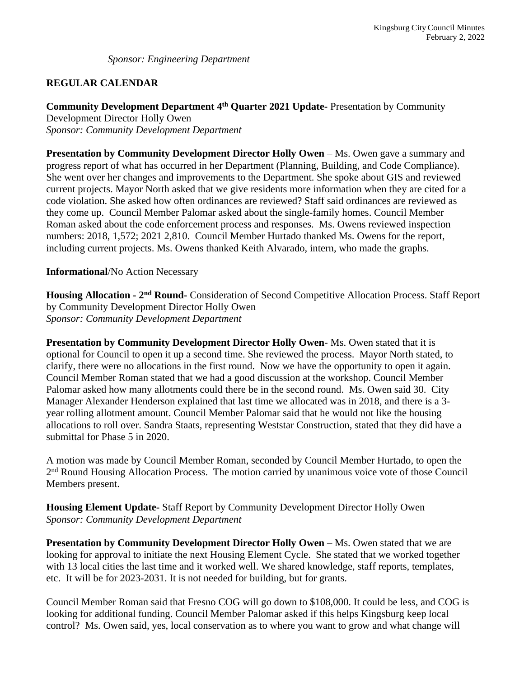*Sponsor: Engineering Department*

# **REGULAR CALENDAR**

**Community Development Department 4th Quarter 2021 Update-** Presentation by Community Development Director Holly Owen

*Sponsor: Community Development Department*

**Presentation by Community Development Director Holly Owen** – Ms. Owen gave a summary and progress report of what has occurred in her Department (Planning, Building, and Code Compliance). She went over her changes and improvements to the Department. She spoke about GIS and reviewed current projects. Mayor North asked that we give residents more information when they are cited for a code violation. She asked how often ordinances are reviewed? Staff said ordinances are reviewed as they come up. Council Member Palomar asked about the single-family homes. Council Member Roman asked about the code enforcement process and responses. Ms. Owens reviewed inspection numbers: 2018, 1,572; 2021 2,810. Council Member Hurtado thanked Ms. Owens for the report, including current projects. Ms. Owens thanked Keith Alvarado, intern, who made the graphs.

#### **Informational**/No Action Necessary

**Housing Allocation - 2nd Round-** Consideration of Second Competitive Allocation Process. Staff Report by Community Development Director Holly Owen *Sponsor: Community Development Department*

**Presentation by Community Development Director Holly Owen**- Ms. Owen stated that it is optional for Council to open it up a second time. She reviewed the process. Mayor North stated, to clarify, there were no allocations in the first round. Now we have the opportunity to open it again. Council Member Roman stated that we had a good discussion at the workshop. Council Member Palomar asked how many allotments could there be in the second round. Ms. Owen said 30. City Manager Alexander Henderson explained that last time we allocated was in 2018, and there is a 3 year rolling allotment amount. Council Member Palomar said that he would not like the housing allocations to roll over. Sandra Staats, representing Weststar Construction, stated that they did have a submittal for Phase 5 in 2020.

A motion was made by Council Member Roman, seconded by Council Member Hurtado, to open the 2<sup>nd</sup> Round Housing Allocation Process. The motion carried by unanimous voice vote of those Council Members present.

**Housing Element Update-** Staff Report by Community Development Director Holly Owen *Sponsor: Community Development Department*

**Presentation by Community Development Director Holly Owen** – Ms. Owen stated that we are looking for approval to initiate the next Housing Element Cycle. She stated that we worked together with 13 local cities the last time and it worked well. We shared knowledge, staff reports, templates, etc. It will be for 2023-2031. It is not needed for building, but for grants.

Council Member Roman said that Fresno COG will go down to \$108,000. It could be less, and COG is looking for additional funding. Council Member Palomar asked if this helps Kingsburg keep local control? Ms. Owen said, yes, local conservation as to where you want to grow and what change will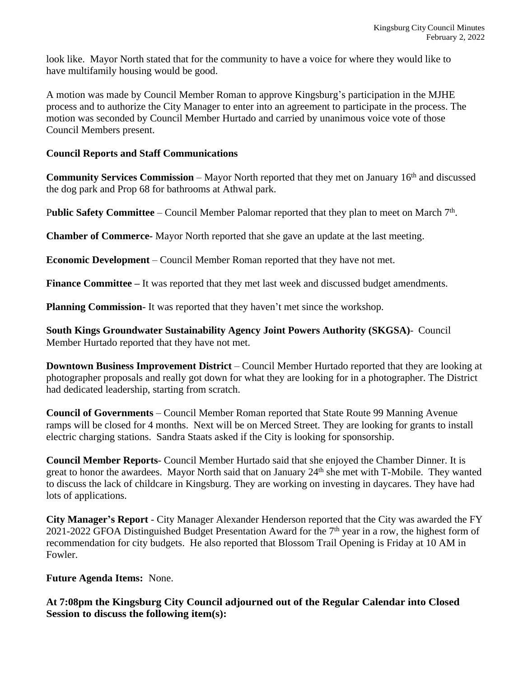look like. Mayor North stated that for the community to have a voice for where they would like to have multifamily housing would be good.

A motion was made by Council Member Roman to approve Kingsburg's participation in the MJHE process and to authorize the City Manager to enter into an agreement to participate in the process. The motion was seconded by Council Member Hurtado and carried by unanimous voice vote of those Council Members present.

## **Council Reports and Staff Communications**

**Community Services Commission** – Mayor North reported that they met on January 16<sup>th</sup> and discussed the dog park and Prop 68 for bathrooms at Athwal park.

Public Safety Committee – Council Member Palomar reported that they plan to meet on March 7<sup>th</sup>.

**Chamber of Commerce-** Mayor North reported that she gave an update at the last meeting.

**Economic Development** – Council Member Roman reported that they have not met.

**Finance Committee –** It was reported that they met last week and discussed budget amendments.

**Planning Commission-** It was reported that they haven't met since the workshop.

**South Kings Groundwater Sustainability Agency Joint Powers Authority (SKGSA)**- Council Member Hurtado reported that they have not met.

**Downtown Business Improvement District** – Council Member Hurtado reported that they are looking at photographer proposals and really got down for what they are looking for in a photographer. The District had dedicated leadership, starting from scratch.

**Council of Governments** – Council Member Roman reported that State Route 99 Manning Avenue ramps will be closed for 4 months. Next will be on Merced Street. They are looking for grants to install electric charging stations. Sandra Staats asked if the City is looking for sponsorship.

**Council Member Reports**- Council Member Hurtado said that she enjoyed the Chamber Dinner. It is great to honor the awardees. Mayor North said that on January 24th she met with T-Mobile. They wanted to discuss the lack of childcare in Kingsburg. They are working on investing in daycares. They have had lots of applications.

**City Manager's Report** - City Manager Alexander Henderson reported that the City was awarded the FY 2021-2022 GFOA Distinguished Budget Presentation Award for the 7<sup>th</sup> year in a row, the highest form of recommendation for city budgets. He also reported that Blossom Trail Opening is Friday at 10 AM in Fowler.

**Future Agenda Items:** None.

**At 7:08pm the Kingsburg City Council adjourned out of the Regular Calendar into Closed Session to discuss the following item(s):**